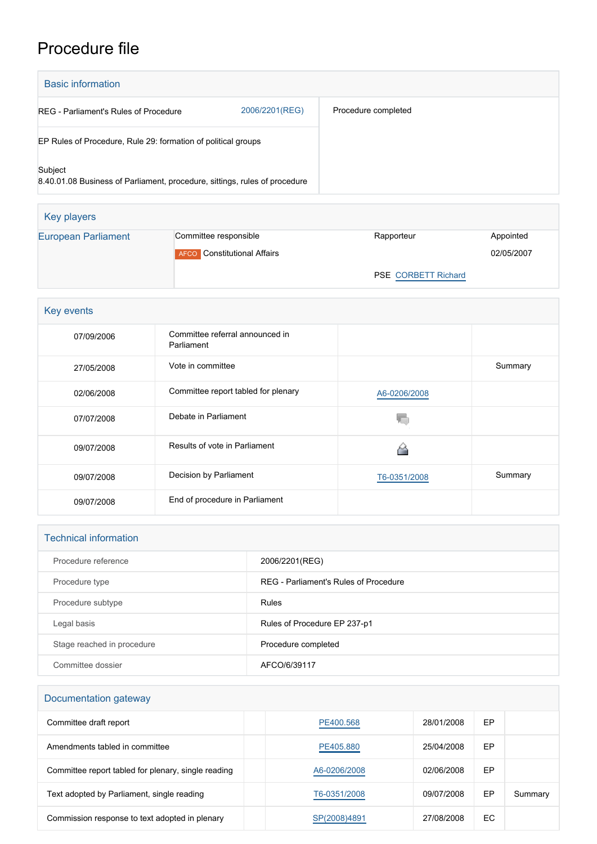## Procedure file

| <b>Basic information</b>                                                              |                                               |                     |            |  |  |  |
|---------------------------------------------------------------------------------------|-----------------------------------------------|---------------------|------------|--|--|--|
| 2006/2201(REG)<br><b>REG</b> - Parliament's Rules of Procedure                        |                                               | Procedure completed |            |  |  |  |
| EP Rules of Procedure, Rule 29: formation of political groups                         |                                               |                     |            |  |  |  |
| Subject<br>8.40.01.08 Business of Parliament, procedure, sittings, rules of procedure |                                               |                     |            |  |  |  |
| Key players                                                                           |                                               |                     |            |  |  |  |
| <b>European Parliament</b>                                                            | Committee responsible                         | Rapporteur          | Appointed  |  |  |  |
|                                                                                       | <b>AFCO</b> Constitutional Affairs            |                     | 02/05/2007 |  |  |  |
|                                                                                       |                                               | PSE CORBETT Richard |            |  |  |  |
|                                                                                       |                                               |                     |            |  |  |  |
| Key events                                                                            |                                               |                     |            |  |  |  |
| 07/09/2006                                                                            | Committee referral announced in<br>Parliament |                     |            |  |  |  |
| 27/05/2008                                                                            | Vote in committee                             |                     | Summary    |  |  |  |
| 02/06/2008                                                                            | Committee report tabled for plenary           | A6-0206/2008        |            |  |  |  |
| 07/07/2008                                                                            | Debate in Parliament                          | T.                  |            |  |  |  |
| 09/07/2008                                                                            | Results of vote in Parliament                 | 6                   |            |  |  |  |
| 09/07/2008                                                                            | Decision by Parliament                        | T6-0351/2008        | Summary    |  |  |  |
| 09/07/2008                                                                            | End of procedure in Parliament                |                     |            |  |  |  |

| <b>Technical information</b> |                                       |  |  |  |
|------------------------------|---------------------------------------|--|--|--|
| Procedure reference          | 2006/2201(REG)                        |  |  |  |
| Procedure type               | REG - Parliament's Rules of Procedure |  |  |  |
| Procedure subtype            | Rules                                 |  |  |  |
| Legal basis                  | Rules of Procedure EP 237-p1          |  |  |  |
| Stage reached in procedure   | Procedure completed                   |  |  |  |
| Committee dossier            | AFCO/6/39117                          |  |  |  |

## Documentation gateway

| Committee draft report                              | PE400.568    | 28/01/2008 | EP  |         |
|-----------------------------------------------------|--------------|------------|-----|---------|
| Amendments tabled in committee                      | PE405.880    | 25/04/2008 | EP  |         |
| Committee report tabled for plenary, single reading | A6-0206/2008 | 02/06/2008 | EP  |         |
| Text adopted by Parliament, single reading          | T6-0351/2008 | 09/07/2008 | EP  | Summary |
| Commission response to text adopted in plenary      | SP(2008)4891 | 27/08/2008 | EC. |         |